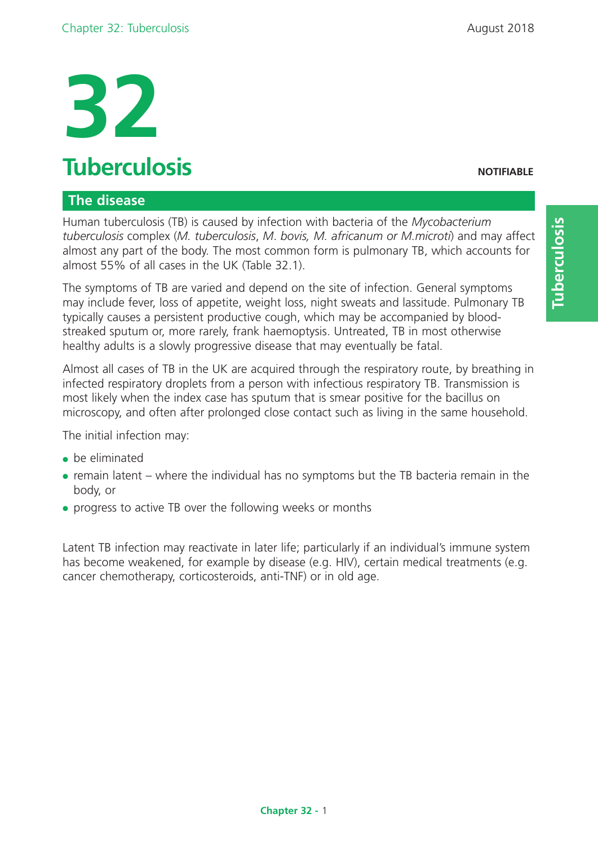# **Tuberculosis NOTIFIABLE**

# **The disease**

Human tuberculosis (TB) is caused by infection with bacteria of the *Mycobacterium tuberculosis* complex (*M. tuberculosis*, *M*. *bovis, M. africanum or M.microti*) and may affect almost any part of the body. The most common form is pulmonary TB, which accounts for almost 55% of all cases in the UK (Table 32.1).

The symptoms of TB are varied and depend on the site of infection. General symptoms may include fever, loss of appetite, weight loss, night sweats and lassitude. Pulmonary TB typically causes a persistent productive cough, which may be accompanied by bloodstreaked sputum or, more rarely, frank haemoptysis. Untreated, TB in most otherwise healthy adults is a slowly progressive disease that may eventually be fatal.

Almost all cases of TB in the UK are acquired through the respiratory route, by breathing in infected respiratory droplets from a person with infectious respiratory TB. Transmission is most likely when the index case has sputum that is smear positive for the bacillus on microscopy, and often after prolonged close contact such as living in the same household.

The initial infection may:

- $\bullet$  be eliminated
- $\bullet$  remain latent where the individual has no symptoms but the TB bacteria remain in the body, or
- progress to active TB over the following weeks or months

Latent TB infection may reactivate in later life; particularly if an individual's immune system has become weakened, for example by disease (e.g. HIV), certain medical treatments (e.g. cancer chemotherapy, corticosteroids, anti-TNF) or in old age.

**Tuberculosis**

Tuberculosis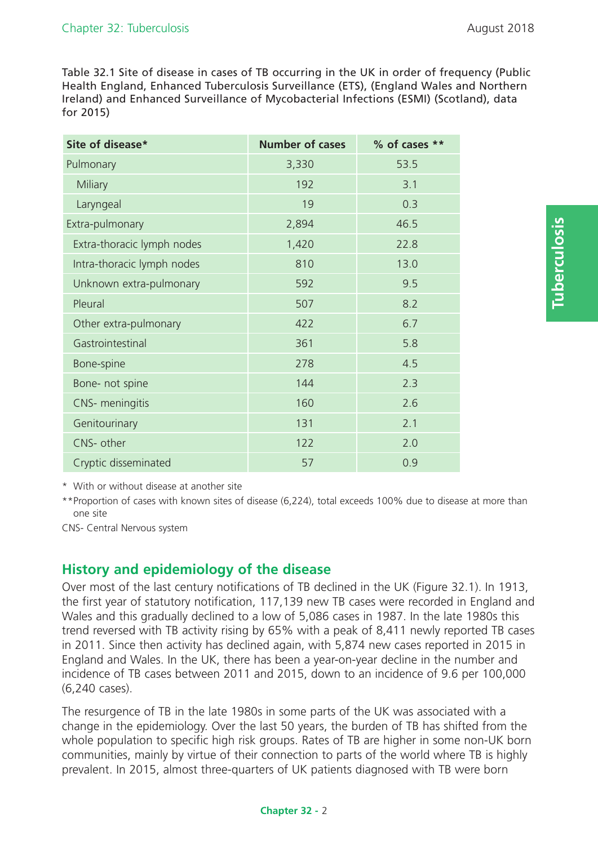Table 32.1 Site of disease in cases of TB occurring in the UK in order of frequency (Public Health England, Enhanced Tuberculosis Surveillance (ETS), (England Wales and Northern Ireland) and Enhanced Surveillance of Mycobacterial Infections (ESMI) (Scotland), data for 2015)

| Site of disease*           | <b>Number of cases</b> | % of cases ** |
|----------------------------|------------------------|---------------|
| Pulmonary                  | 3,330                  | 53.5          |
| Miliary                    | 192                    | 3.1           |
| Laryngeal                  | 19                     | 0.3           |
| Extra-pulmonary            | 2,894                  | 46.5          |
| Extra-thoracic lymph nodes | 1,420                  | 22.8          |
| Intra-thoracic lymph nodes | 810                    | 13.0          |
| Unknown extra-pulmonary    | 592                    | 9.5           |
| Pleural                    | 507                    | 8.2           |
| Other extra-pulmonary      | 422                    | 6.7           |
| Gastrointestinal           | 361                    | 5.8           |
| Bone-spine                 | 278                    | 4.5           |
| Bone- not spine            | 144                    | 2.3           |
| CNS- meningitis            | 160                    | 2.6           |
| Genitourinary              | 131                    | 2.1           |
| CNS- other                 | 122                    | 2.0           |
| Cryptic disseminated       | 57                     | 0.9           |

\* With or without disease at another site

\*\*Proportion of cases with known sites of disease (6,224), total exceeds 100% due to disease at more than one site

CNS- Central Nervous system

# **History and epidemiology of the disease**

Over most of the last century notifications of TB declined in the UK (Figure 32.1). In 1913, the first year of statutory notification, 117,139 new TB cases were recorded in England and Wales and this gradually declined to a low of 5,086 cases in 1987. In the late 1980s this trend reversed with TB activity rising by 65% with a peak of 8,411 newly reported TB cases in 2011. Since then activity has declined again, with 5,874 new cases reported in 2015 in England and Wales. In the UK, there has been a year-on-year decline in the number and incidence of TB cases between 2011 and 2015, down to an incidence of 9.6 per 100,000 (6,240 cases).

The resurgence of TB in the late 1980s in some parts of the UK was associated with a change in the epidemiology. Over the last 50 years, the burden of TB has shifted from the whole population to specific high risk groups. Rates of TB are higher in some non-UK born communities, mainly by virtue of their connection to parts of the world where TB is highly prevalent. In 2015, almost three-quarters of UK patients diagnosed with TB were born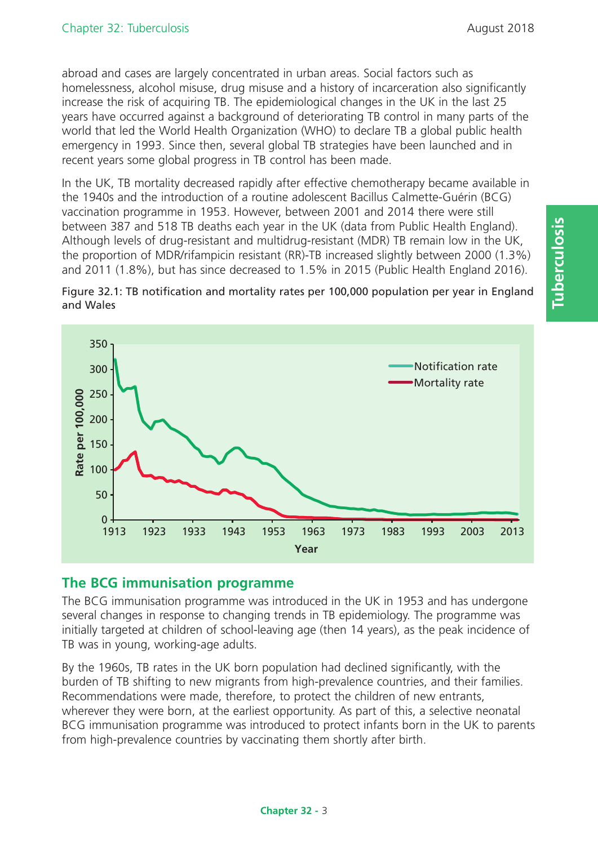abroad and cases are largely concentrated in urban areas. Social factors such as homelessness, alcohol misuse, drug misuse and a history of incarceration also significantly increase the risk of acquiring TB. The epidemiological changes in the UK in the last 25 years have occurred against a background of deteriorating TB control in many parts of the world that led the World Health Organization (WHO) to declare TB a global public health emergency in 1993. Since then, several global TB strategies have been launched and in recent years some global progress in TB control has been made.

In the UK, TB mortality decreased rapidly after effective chemotherapy became available in the 1940s and the introduction of a routine adolescent Bacillus Calmette-Guérin (BCG) vaccination programme in 1953. However, between 2001 and 2014 there were still between 387 and 518 TB deaths each year in the UK (data from Public Health England). Although levels of drug-resistant and multidrug-resistant (MDR) TB remain low in the UK, the proportion of MDR/rifampicin resistant (RR)-TB increased slightly between 2000 (1.3%) and 2011 (1.8%), but has since decreased to 1.5% in 2015 (Public Health England 2016).





# **The BCG immunisation programme**

The BCG immunisation programme was introduced in the UK in 1953 and has undergone several changes in response to changing trends in TB epidemiology. The programme was initially targeted at children of school-leaving age (then 14 years), as the peak incidence of TB was in young, working-age adults.

By the 1960s, TB rates in the UK born population had declined significantly, with the burden of TB shifting to new migrants from high-prevalence countries, and their families. Recommendations were made, therefore, to protect the children of new entrants, wherever they were born, at the earliest opportunity. As part of this, a selective neonatal BCG immunisation programme was introduced to protect infants born in the UK to parents from high-prevalence countries by vaccinating them shortly after birth.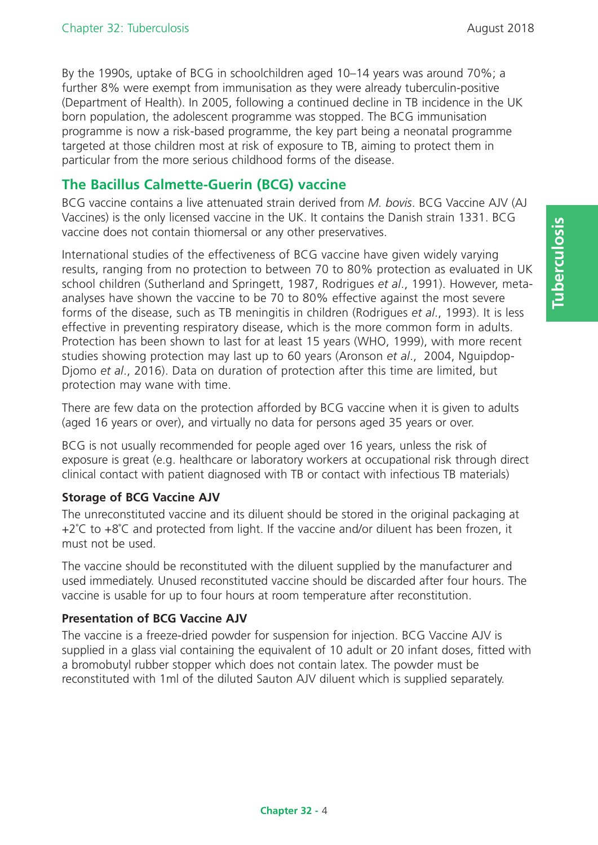By the 1990s, uptake of BCG in schoolchildren aged 10–14 years was around 70%; a further 8% were exempt from immunisation as they were already tuberculin-positive (Department of Health). In 2005, following a continued decline in TB incidence in the UK born population, the adolescent programme was stopped. The BCG immunisation programme is now a risk-based programme, the key part being a neonatal programme targeted at those children most at risk of exposure to TB, aiming to protect them in particular from the more serious childhood forms of the disease.

# **The Bacillus Calmette-Guerin (BCG) vaccine**

BCG vaccine contains a live attenuated strain derived from *M. bovis*. BCG Vaccine AJV (AJ Vaccines) is the only licensed vaccine in the UK. It contains the Danish strain 1331. BCG vaccine does not contain thiomersal or any other preservatives.

International studies of the effectiveness of BCG vaccine have given widely varying results, ranging from no protection to between 70 to 80% protection as evaluated in UK school children (Sutherland and Springett, 1987, Rodrigues *et al*., 1991). However, metaanalyses have shown the vaccine to be 70 to 80% effective against the most severe forms of the disease, such as TB meningitis in children (Rodrigues *et al*., 1993). It is less effective in preventing respiratory disease, which is the more common form in adults. Protection has been shown to last for at least 15 years (WHO, 1999), with more recent studies showing protection may last up to 60 years (Aronson *et al*., 2004, Nguipdop-Djomo *et al*., 2016). Data on duration of protection after this time are limited, but protection may wane with time.

There are few data on the protection afforded by BCG vaccine when it is given to adults (aged 16 years or over), and virtually no data for persons aged 35 years or over.

BCG is not usually recommended for people aged over 16 years, unless the risk of exposure is great (e.g. healthcare or laboratory workers at occupational risk through direct clinical contact with patient diagnosed with TB or contact with infectious TB materials)

## **Storage of BCG Vaccine AJV**

The unreconstituted vaccine and its diluent should be stored in the original packaging at +2°C to +8°C and protected from light. If the vaccine and/or diluent has been frozen, it must not be used.

The vaccine should be reconstituted with the diluent supplied by the manufacturer and used immediately. Unused reconstituted vaccine should be discarded after four hours. The vaccine is usable for up to four hours at room temperature after reconstitution.

# **Presentation of BCG Vaccine AJV**

The vaccine is a freeze-dried powder for suspension for injection. BCG Vaccine AJV is supplied in a glass vial containing the equivalent of 10 adult or 20 infant doses, fitted with a bromobutyl rubber stopper which does not contain latex. The powder must be reconstituted with 1ml of the diluted Sauton AJV diluent which is supplied separately.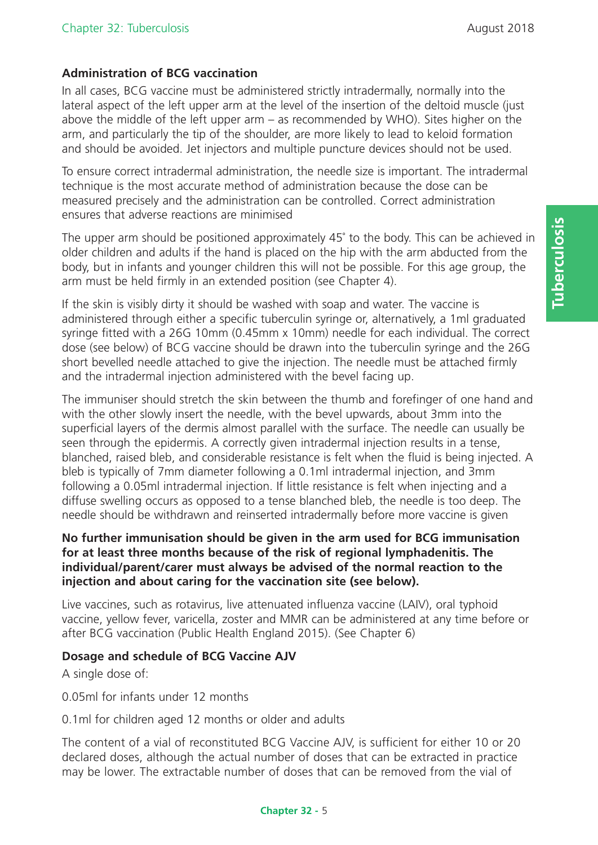## **Administration of BCG vaccination**

In all cases, BCG vaccine must be administered strictly intradermally, normally into the lateral aspect of the left upper arm at the level of the insertion of the deltoid muscle (just above the middle of the left upper arm – as recommended by WHO). Sites higher on the arm, and particularly the tip of the shoulder, are more likely to lead to keloid formation and should be avoided. Jet injectors and multiple puncture devices should not be used.

To ensure correct intradermal administration, the needle size is important. The intradermal technique is the most accurate method of administration because the dose can be measured precisely and the administration can be controlled. Correct administration ensures that adverse reactions are minimised

The upper arm should be positioned approximately 45˚ to the body. This can be achieved in older children and adults if the hand is placed on the hip with the arm abducted from the body, but in infants and younger children this will not be possible. For this age group, the arm must be held firmly in an extended position (see Chapter 4).

If the skin is visibly dirty it should be washed with soap and water. The vaccine is administered through either a specific tuberculin syringe or, alternatively, a 1ml graduated syringe fitted with a 26G 10mm (0.45mm x 10mm) needle for each individual. The correct dose (see below) of BCG vaccine should be drawn into the tuberculin syringe and the 26G short bevelled needle attached to give the injection. The needle must be attached firmly and the intradermal injection administered with the bevel facing up.

The immuniser should stretch the skin between the thumb and forefinger of one hand and with the other slowly insert the needle, with the bevel upwards, about 3mm into the superficial layers of the dermis almost parallel with the surface. The needle can usually be seen through the epidermis. A correctly given intradermal injection results in a tense, blanched, raised bleb, and considerable resistance is felt when the fluid is being injected. A bleb is typically of 7mm diameter following a 0.1ml intradermal injection, and 3mm following a 0.05ml intradermal injection. If little resistance is felt when injecting and a diffuse swelling occurs as opposed to a tense blanched bleb, the needle is too deep. The needle should be withdrawn and reinserted intradermally before more vaccine is given

#### **No further immunisation should be given in the arm used for BCG immunisation for at least three months because of the risk of regional lymphadenitis. The individual/parent/carer must always be advised of the normal reaction to the injection and about caring for the vaccination site (see below).**

Live vaccines, such as rotavirus, live attenuated influenza vaccine (LAIV), oral typhoid vaccine, yellow fever, varicella, zoster and MMR can be administered at any time before or after BCG vaccination (Public Health England 2015). (See Chapter 6)

#### **Dosage and schedule of BCG Vaccine AJV**

A single dose of:

0.05ml for infants under 12 months

0.1ml for children aged 12 months or older and adults

The content of a vial of reconstituted BCG Vaccine AJV, is sufficient for either 10 or 20 declared doses, although the actual number of doses that can be extracted in practice may be lower. The extractable number of doses that can be removed from the vial of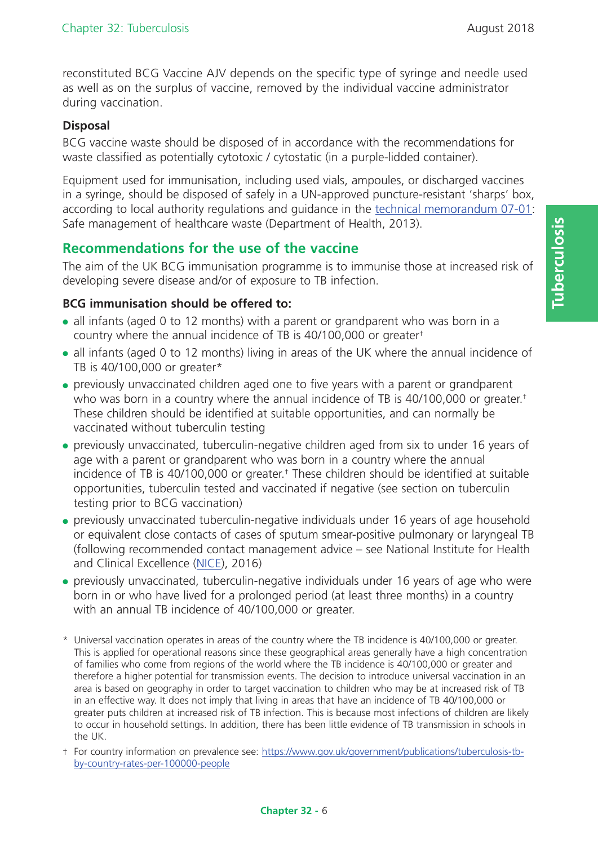reconstituted BCG Vaccine AJV depends on the specific type of syringe and needle used as well as on the surplus of vaccine, removed by the individual vaccine administrator during vaccination.

# **Disposal**

BCG vaccine waste should be disposed of in accordance with the recommendations for waste classified as potentially cytotoxic / cytostatic (in a purple-lidded container).

Equipment used for immunisation, including used vials, ampoules, or discharged vaccines in a syringe, should be disposed of safely in a UN-approved puncture-resistant 'sharps' box, according to local authority regulations and guidance in the technical memorandum 07-01: Safe management of healthcare waste (Department of Health, 2013).

# **Recommendations for the use of the vaccine**

The aim of the UK BCG immunisation programme is to immunise those at increased risk of developing severe disease and/or of exposure to TB infection.

## **BCG immunisation should be offered to:**

- all infants (aged 0 to 12 months) with a parent or grandparent who was born in a country where the annual incidence of TB is 40/100,000 or greater†
- all infants (aged 0 to 12 months) living in areas of the UK where the annual incidence of TB is 40/100,000 or greater\*
- previously unvaccinated children aged one to five years with a parent or grandparent who was born in a country where the annual incidence of TB is 40/100,000 or greater.<sup>†</sup> These children should be identified at suitable opportunities, and can normally be vaccinated without tuberculin testing
- previously unvaccinated, tuberculin-negative children aged from six to under 16 years of age with a parent or grandparent who was born in a country where the annual incidence of TB is 40/100,000 or greater.† These children should be identified at suitable opportunities, tuberculin tested and vaccinated if negative (see section on tuberculin testing prior to BCG vaccination)
- previously unvaccinated tuberculin-negative individuals under 16 years of age household or equivalent close contacts of cases of sputum smear-positive pulmonary or laryngeal TB (following recommended contact management advice – see National Institute for Health and Clinical Excellence (NICE), 2016)
- previously unvaccinated, tuberculin-negative individuals under 16 years of age who were born in or who have lived for a prolonged period (at least three months) in a country with an annual TB incidence of 40/100,000 or greater.
- \* Universal vaccination operates in areas of the country where the TB incidence is 40/100,000 or greater. This is applied for operational reasons since these geographical areas generally have a high concentration of families who come from regions of the world where the TB incidence is 40/100,000 or greater and therefore a higher potential for transmission events. The decision to introduce universal vaccination in an area is based on geography in order to target vaccination to children who may be at increased risk of TB in an effective way. It does not imply that living in areas that have an incidence of TB 40/100,000 or greater puts children at increased risk of TB infection. This is because most infections of children are likely to occur in household settings. In addition, there has been little evidence of TB transmission in schools in the UK.
- † For country information on prevalence see: https://www.gov.uk/government/publications/tuberculosis-tbby-country-rates-per-100000-people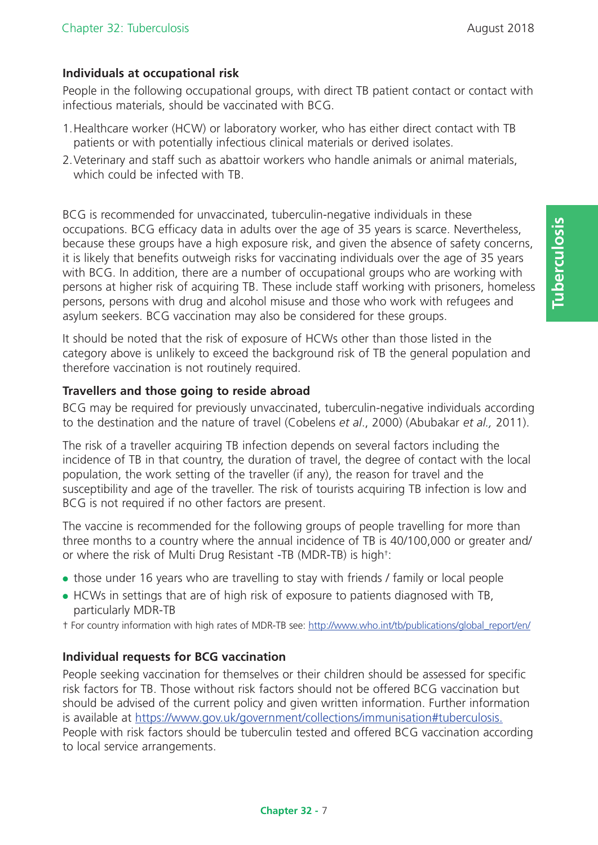# **Individuals at occupational risk**

People in the following occupational groups, with direct TB patient contact or contact with infectious materials, should be vaccinated with BCG.

- 1.Healthcare worker (HCW) or laboratory worker, who has either direct contact with TB patients or with potentially infectious clinical materials or derived isolates.
- 2. Veterinary and staff such as abattoir workers who handle animals or animal materials, which could be infected with TB.

BCG is recommended for unvaccinated, tuberculin-negative individuals in these occupations. BCG efficacy data in adults over the age of 35 years is scarce. Nevertheless, because these groups have a high exposure risk, and given the absence of safety concerns, it is likely that benefits outweigh risks for vaccinating individuals over the age of 35 years with BCG. In addition, there are a number of occupational groups who are working with persons at higher risk of acquiring TB. These include staff working with prisoners, homeless persons, persons with drug and alcohol misuse and those who work with refugees and asylum seekers. BCG vaccination may also be considered for these groups.

It should be noted that the risk of exposure of HCWs other than those listed in the category above is unlikely to exceed the background risk of TB the general population and therefore vaccination is not routinely required.

#### **Travellers and those going to reside abroad**

BCG may be required for previously unvaccinated, tuberculin-negative individuals according to the destination and the nature of travel (Cobelens *et al*., 2000) (Abubakar *et al.,* 2011).

The risk of a traveller acquiring TB infection depends on several factors including the incidence of TB in that country, the duration of travel, the degree of contact with the local population, the work setting of the traveller (if any), the reason for travel and the susceptibility and age of the traveller. The risk of tourists acquiring TB infection is low and BCG is not required if no other factors are present.

The vaccine is recommended for the following groups of people travelling for more than three months to a country where the annual incidence of TB is 40/100,000 or greater and/ or where the risk of Multi Drug Resistant -TB (MDR-TB) is high†:

- those under 16 years who are travelling to stay with friends / family or local people
- HCWs in settings that are of high risk of exposure to patients diagnosed with TB, particularly MDR-TB

† For country information with high rates of MDR-TB see: http://www.who.int/tb/publications/global\_report/en/

## **Individual requests for BCG vaccination**

People seeking vaccination for themselves or their children should be assessed for specific risk factors for TB. Those without risk factors should not be offered BCG vaccination but should be advised of the current policy and given written information. Further information is available at https://www.gov.uk/government/collections/immunisation#tuberculosis. People with risk factors should be tuberculin tested and offered BCG vaccination according to local service arrangements.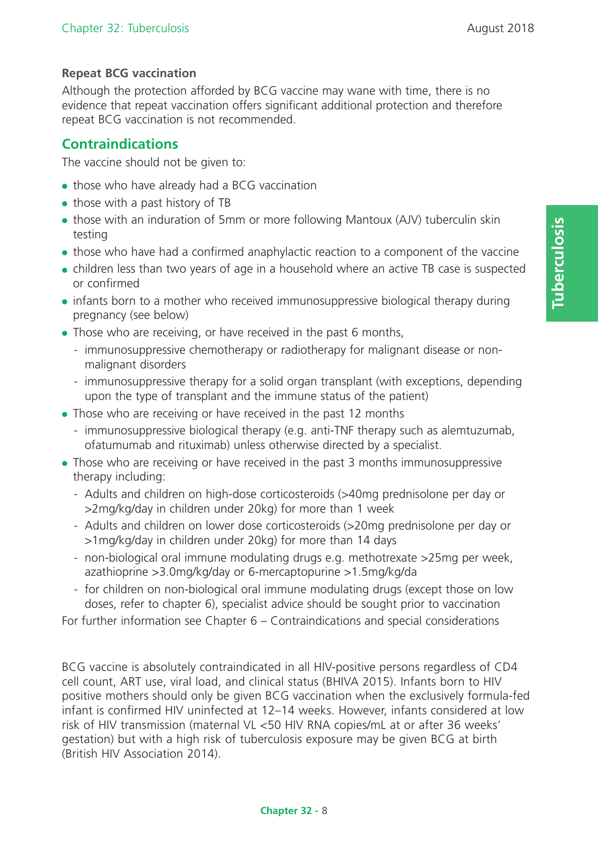# **Repeat BCG vaccination**

Although the protection afforded by BCG vaccine may wane with time, there is no evidence that repeat vaccination offers significant additional protection and therefore repeat BCG vaccination is not recommended.

# **Contraindications**

The vaccine should not be given to:

- those who have already had a BCG vaccination
- those with a past history of TB
- those with an induration of 5mm or more following Mantoux (AJV) tuberculin skin testing
- those who have had a confirmed anaphylactic reaction to a component of the vaccine
- children less than two years of age in a household where an active TB case is suspected or confirmed
- infants born to a mother who received immunosuppressive biological therapy during pregnancy (see below)
- Those who are receiving, or have received in the past 6 months,
	- immunosuppressive chemotherapy or radiotherapy for malignant disease or nonmalignant disorders
	- immunosuppressive therapy for a solid organ transplant (with exceptions, depending upon the type of transplant and the immune status of the patient)
- Those who are receiving or have received in the past 12 months
	- immunosuppressive biological therapy (e.g. anti-TNF therapy such as alemtuzumab, ofatumumab and rituximab) unless otherwise directed by a specialist.
- Those who are receiving or have received in the past 3 months immunosuppressive therapy including:
	- Adults and children on high-dose corticosteroids (>40mg prednisolone per day or >2mg/kg/day in children under 20kg) for more than 1 week
	- Adults and children on lower dose corticosteroids (>20mg prednisolone per day or >1mg/kg/day in children under 20kg) for more than 14 days
	- non-biological oral immune modulating drugs e.g. methotrexate >25mg per week, azathioprine >3.0mg/kg/day or 6-mercaptopurine >1.5mg/kg/da
	- for children on non-biological oral immune modulating drugs (except those on low doses, refer to chapter 6), specialist advice should be sought prior to vaccination

For further information see Chapter 6 – Contraindications and special considerations

BCG vaccine is absolutely contraindicated in all HIV-positive persons regardless of CD4 cell count, ART use, viral load, and clinical status (BHIVA 2015). Infants born to HIV positive mothers should only be given BCG vaccination when the exclusively formula-fed infant is confirmed HIV uninfected at 12–14 weeks. However, infants considered at low risk of HIV transmission (maternal VL <50 HIV RNA copies/mL at or after 36 weeks' gestation) but with a high risk of tuberculosis exposure may be given BCG at birth (British HIV Association 2014).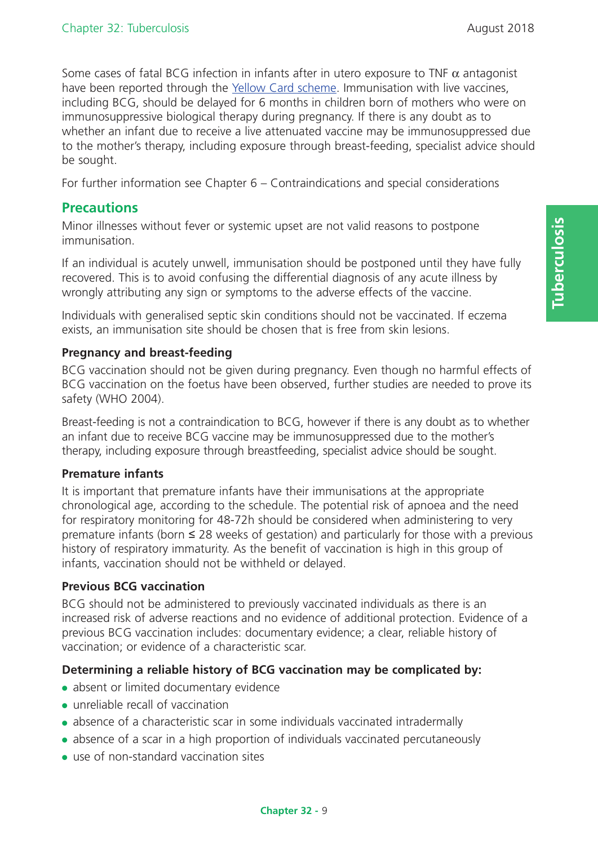**Tuberculosis**

**Tuberculosis** 

Some cases of fatal BCG infection in infants after in utero exposure to TNF  $\alpha$  antagonist have been reported through the Yellow Card scheme. Immunisation with live vaccines, including BCG, should be delayed for 6 months in children born of mothers who were on immunosuppressive biological therapy during pregnancy. If there is any doubt as to whether an infant due to receive a live attenuated vaccine may be immunosuppressed due to the mother's therapy, including exposure through breast-feeding, specialist advice should be sought.

For further information see Chapter 6 – Contraindications and special considerations

# **Precautions**

Minor illnesses without fever or systemic upset are not valid reasons to postpone immunisation.

If an individual is acutely unwell, immunisation should be postponed until they have fully recovered. This is to avoid confusing the differential diagnosis of any acute illness by wrongly attributing any sign or symptoms to the adverse effects of the vaccine.

Individuals with generalised septic skin conditions should not be vaccinated. If eczema exists, an immunisation site should be chosen that is free from skin lesions.

#### **Pregnancy and breast-feeding**

BCG vaccination should not be given during pregnancy. Even though no harmful effects of BCG vaccination on the foetus have been observed, further studies are needed to prove its safety (WHO 2004).

Breast-feeding is not a contraindication to BCG, however if there is any doubt as to whether an infant due to receive BCG vaccine may be immunosuppressed due to the mother's therapy, including exposure through breastfeeding, specialist advice should be sought.

#### **Premature infants**

It is important that premature infants have their immunisations at the appropriate chronological age, according to the schedule. The potential risk of apnoea and the need for respiratory monitoring for 48-72h should be considered when administering to very premature infants (born ≤ 28 weeks of gestation) and particularly for those with a previous history of respiratory immaturity. As the benefit of vaccination is high in this group of infants, vaccination should not be withheld or delayed.

## **Previous BCG vaccination**

BCG should not be administered to previously vaccinated individuals as there is an increased risk of adverse reactions and no evidence of additional protection. Evidence of a previous BCG vaccination includes: documentary evidence; a clear, reliable history of vaccination; or evidence of a characteristic scar.

## **Determining a reliable history of BCG vaccination may be complicated by:**

- absent or limited documentary evidence
- unreliable recall of vaccination
- absence of a characteristic scar in some individuals vaccinated intradermally
- absence of a scar in a high proportion of individuals vaccinated percutaneously
- use of non-standard vaccination sites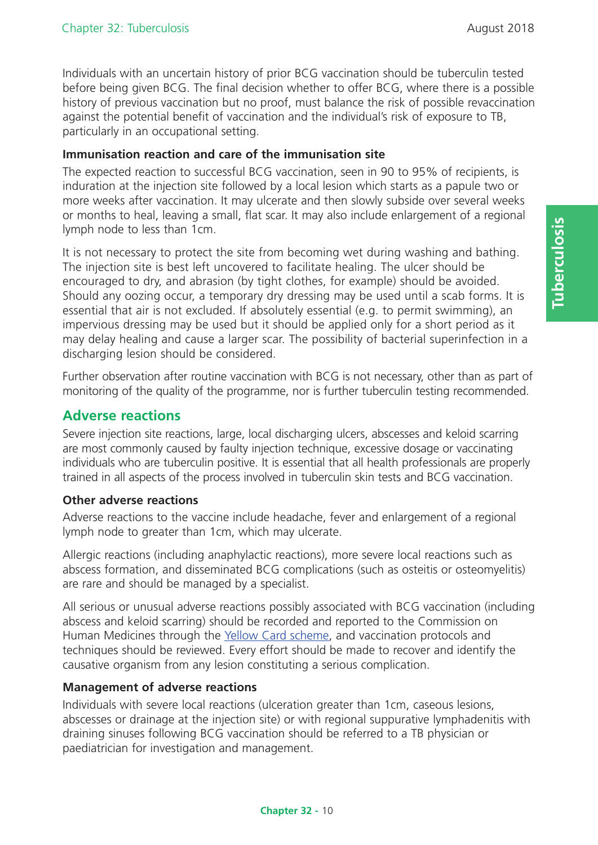Individuals with an uncertain history of prior BCG vaccination should be tuberculin tested before being given BCG. The final decision whether to offer BCG, where there is a possible history of previous vaccination but no proof, must balance the risk of possible revaccination against the potential benefit of vaccination and the individual's risk of exposure to TB, particularly in an occupational setting.

#### **Immunisation reaction and care of the immunisation site**

The expected reaction to successful BCG vaccination, seen in 90 to 95% of recipients, is induration at the injection site followed by a local lesion which starts as a papule two or more weeks after vaccination. It may ulcerate and then slowly subside over several weeks or months to heal, leaving a small, flat scar. It may also include enlargement of a regional lymph node to less than 1cm.

It is not necessary to protect the site from becoming wet during washing and bathing. The injection site is best left uncovered to facilitate healing. The ulcer should be encouraged to dry, and abrasion (by tight clothes, for example) should be avoided. Should any oozing occur, a temporary dry dressing may be used until a scab forms. It is essential that air is not excluded. If absolutely essential (e.g. to permit swimming), an impervious dressing may be used but it should be applied only for a short period as it may delay healing and cause a larger scar. The possibility of bacterial superinfection in a discharging lesion should be considered.

Further observation after routine vaccination with BCG is not necessary, other than as part of monitoring of the quality of the programme, nor is further tuberculin testing recommended.

# **Adverse reactions**

Severe injection site reactions, large, local discharging ulcers, abscesses and keloid scarring are most commonly caused by faulty injection technique, excessive dosage or vaccinating individuals who are tuberculin positive. It is essential that all health professionals are properly trained in all aspects of the process involved in tuberculin skin tests and BCG vaccination.

#### **Other adverse reactions**

Adverse reactions to the vaccine include headache, fever and enlargement of a regional lymph node to greater than 1cm, which may ulcerate.

Allergic reactions (including anaphylactic reactions), more severe local reactions such as abscess formation, and disseminated BCG complications (such as osteitis or osteomyelitis) are rare and should be managed by a specialist.

All serious or unusual adverse reactions possibly associated with BCG vaccination (including abscess and keloid scarring) should be recorded and reported to the Commission on Human Medicines through the Yellow Card scheme, and vaccination protocols and techniques should be reviewed. Every effort should be made to recover and identify the causative organism from any lesion constituting a serious complication.

#### **Management of adverse reactions**

Individuals with severe local reactions (ulceration greater than 1cm, caseous lesions, abscesses or drainage at the injection site) or with regional suppurative lymphadenitis with draining sinuses following BCG vaccination should be referred to a TB physician or paediatrician for investigation and management.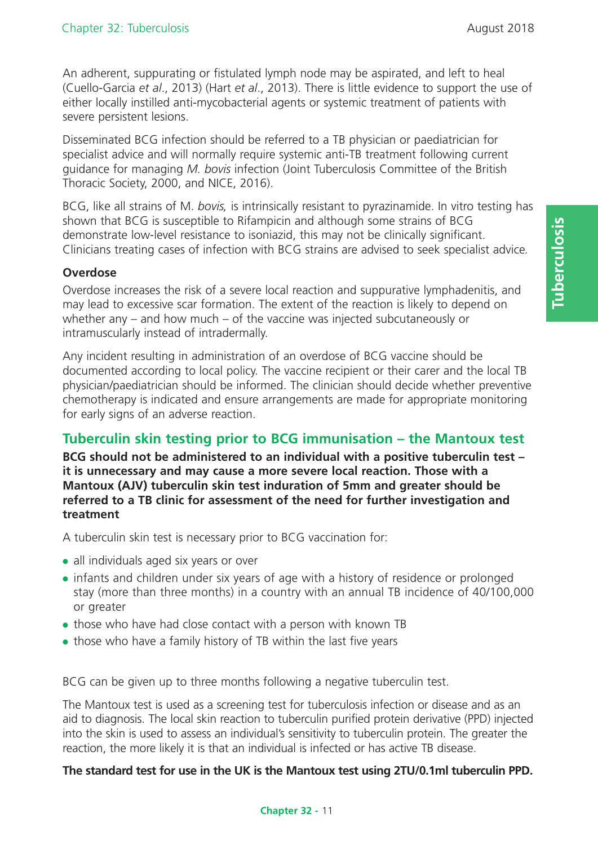An adherent, suppurating or fistulated lymph node may be aspirated, and left to heal (Cuello-Garcia *et al*., 2013) (Hart *et al*., 2013). There is little evidence to support the use of either locally instilled anti-mycobacterial agents or systemic treatment of patients with severe persistent lesions.

Disseminated BCG infection should be referred to a TB physician or paediatrician for specialist advice and will normally require systemic anti-TB treatment following current guidance for managing *M. bovis* infection (Joint Tuberculosis Committee of the British Thoracic Society, 2000, and NICE, 2016).

BCG, like all strains of M. *bovis,* is intrinsically resistant to pyrazinamide. In vitro testing has shown that BCG is susceptible to Rifampicin and although some strains of BCG demonstrate low-level resistance to isoniazid, this may not be clinically significant. Clinicians treating cases of infection with BCG strains are advised to seek specialist advice*.*

#### **Overdose**

Overdose increases the risk of a severe local reaction and suppurative lymphadenitis, and may lead to excessive scar formation. The extent of the reaction is likely to depend on whether any – and how much – of the vaccine was injected subcutaneously or intramuscularly instead of intradermally.

Any incident resulting in administration of an overdose of BCG vaccine should be documented according to local policy. The vaccine recipient or their carer and the local TB physician/paediatrician should be informed. The clinician should decide whether preventive chemotherapy is indicated and ensure arrangements are made for appropriate monitoring for early signs of an adverse reaction.

# **Tuberculin skin testing prior to BCG immunisation – the Mantoux test**

**BCG should not be administered to an individual with a positive tuberculin test – it is unnecessary and may cause a more severe local reaction. Those with a Mantoux (AJV) tuberculin skin test induration of 5mm and greater should be referred to a TB clinic for assessment of the need for further investigation and treatment**

A tuberculin skin test is necessary prior to BCG vaccination for:

- all individuals aged six years or over
- infants and children under six years of age with a history of residence or prolonged stay (more than three months) in a country with an annual TB incidence of 40/100,000 or greater
- those who have had close contact with a person with known TB
- those who have a family history of TB within the last five years

BCG can be given up to three months following a negative tuberculin test.

The Mantoux test is used as a screening test for tuberculosis infection or disease and as an aid to diagnosis. The local skin reaction to tuberculin purified protein derivative (PPD) injected into the skin is used to assess an individual's sensitivity to tuberculin protein. The greater the reaction, the more likely it is that an individual is infected or has active TB disease.

**The standard test for use in the UK is the Mantoux test using 2TU/0.1ml tuberculin PPD.**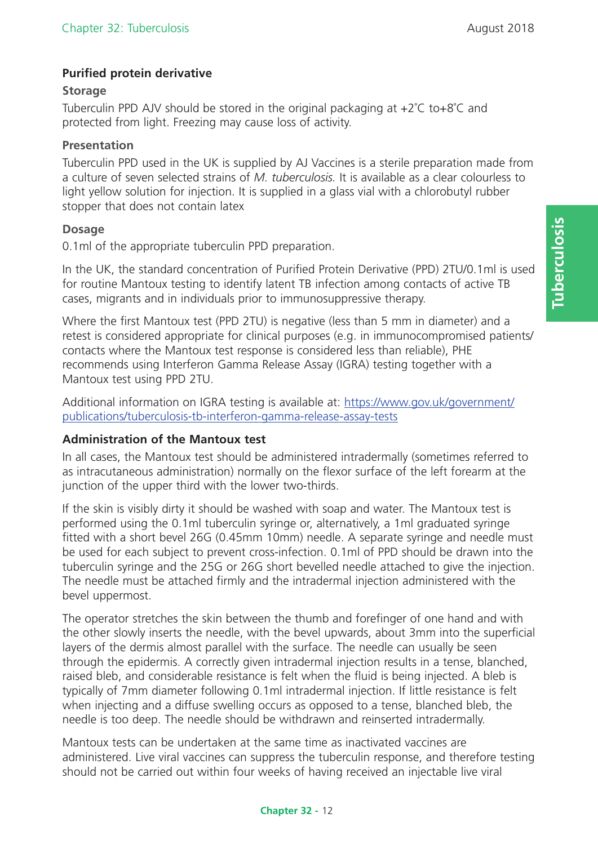## **Purified protein derivative**

#### **Storage**

Tuberculin PPD AJV should be stored in the original packaging at +2˚C to+8˚C and protected from light. Freezing may cause loss of activity.

#### **Presentation**

Tuberculin PPD used in the UK is supplied by AJ Vaccines is a sterile preparation made from a culture of seven selected strains of *M. tuberculosis.* It is available as a clear colourless to light yellow solution for injection. It is supplied in a glass vial with a chlorobutyl rubber stopper that does not contain latex

#### **Dosage**

0.1ml of the appropriate tuberculin PPD preparation.

In the UK, the standard concentration of Purified Protein Derivative (PPD) 2TU/0.1ml is used for routine Mantoux testing to identify latent TB infection among contacts of active TB cases, migrants and in individuals prior to immunosuppressive therapy.

Where the first Mantoux test (PPD 2TU) is negative (less than 5 mm in diameter) and a retest is considered appropriate for clinical purposes (e.g. in immunocompromised patients/ contacts where the Mantoux test response is considered less than reliable), PHE recommends using Interferon Gamma Release Assay (IGRA) testing together with a Mantoux test using PPD 2TU.

Additional information on IGRA testing is available at: https://www.gov.uk/government/ publications/tuberculosis-tb-interferon-gamma-release-assay-tests

#### **Administration of the Mantoux test**

In all cases, the Mantoux test should be administered intradermally (sometimes referred to as intracutaneous administration) normally on the flexor surface of the left forearm at the junction of the upper third with the lower two-thirds.

If the skin is visibly dirty it should be washed with soap and water. The Mantoux test is performed using the 0.1ml tuberculin syringe or, alternatively, a 1ml graduated syringe fitted with a short bevel 26G (0.45mm 10mm) needle. A separate syringe and needle must be used for each subject to prevent cross-infection. 0.1ml of PPD should be drawn into the tuberculin syringe and the 25G or 26G short bevelled needle attached to give the injection. The needle must be attached firmly and the intradermal injection administered with the bevel uppermost.

The operator stretches the skin between the thumb and forefinger of one hand and with the other slowly inserts the needle, with the bevel upwards, about 3mm into the superficial layers of the dermis almost parallel with the surface. The needle can usually be seen through the epidermis. A correctly given intradermal injection results in a tense, blanched, raised bleb, and considerable resistance is felt when the fluid is being injected. A bleb is typically of 7mm diameter following 0.1ml intradermal injection. If little resistance is felt when injecting and a diffuse swelling occurs as opposed to a tense, blanched bleb, the needle is too deep. The needle should be withdrawn and reinserted intradermally.

Mantoux tests can be undertaken at the same time as inactivated vaccines are administered. Live viral vaccines can suppress the tuberculin response, and therefore testing should not be carried out within four weeks of having received an injectable live viral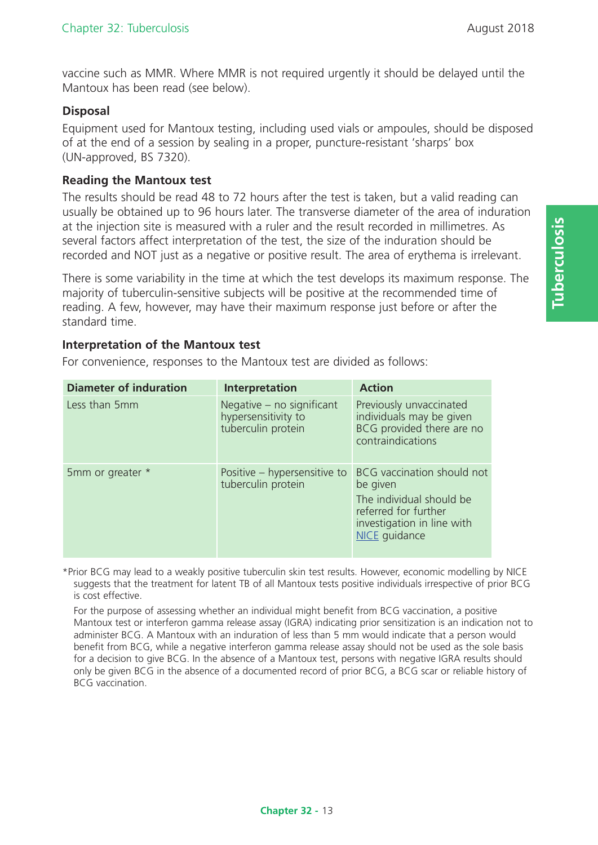vaccine such as MMR. Where MMR is not required urgently it should be delayed until the Mantoux has been read (see below).

## **Disposal**

Equipment used for Mantoux testing, including used vials or ampoules, should be disposed of at the end of a session by sealing in a proper, puncture-resistant 'sharps' box (UN-approved, BS 7320).

#### **Reading the Mantoux test**

The results should be read 48 to 72 hours after the test is taken, but a valid reading can usually be obtained up to 96 hours later. The transverse diameter of the area of induration at the injection site is measured with a ruler and the result recorded in millimetres. As several factors affect interpretation of the test, the size of the induration should be recorded and NOT just as a negative or positive result. The area of erythema is irrelevant.

There is some variability in the time at which the test develops its maximum response. The majority of tuberculin-sensitive subjects will be positive at the recommended time of reading. A few, however, may have their maximum response just before or after the standard time.

#### **Interpretation of the Mantoux test**

For convenience, responses to the Mantoux test are divided as follows:

| <b>Diameter of induration</b> | Interpretation                                                         | <b>Action</b>                                                                                                                                    |
|-------------------------------|------------------------------------------------------------------------|--------------------------------------------------------------------------------------------------------------------------------------------------|
| Less than 5mm                 | Negative - no significant<br>hypersensitivity to<br>tuberculin protein | Previously unvaccinated<br>individuals may be given<br>BCG provided there are no<br>contraindications                                            |
| 5mm or greater *              | Positive – hypersensitive to<br>tuberculin protein                     | BCG vaccination should not<br>be given<br>The individual should be<br>referred for further<br>investigation in line with<br><b>NICE</b> guidance |

\*Prior BCG may lead to a weakly positive tuberculin skin test results. However, economic modelling by NICE suggests that the treatment for latent TB of all Mantoux tests positive individuals irrespective of prior BCG is cost effective.

For the purpose of assessing whether an individual might benefit from BCG vaccination, a positive Mantoux test or interferon gamma release assay (IGRA) indicating prior sensitization is an indication not to administer BCG. A Mantoux with an induration of less than 5 mm would indicate that a person would benefit from BCG, while a negative interferon gamma release assay should not be used as the sole basis for a decision to give BCG. In the absence of a Mantoux test, persons with negative IGRA results should only be given BCG in the absence of a documented record of prior BCG, a BCG scar or reliable history of BCG vaccination.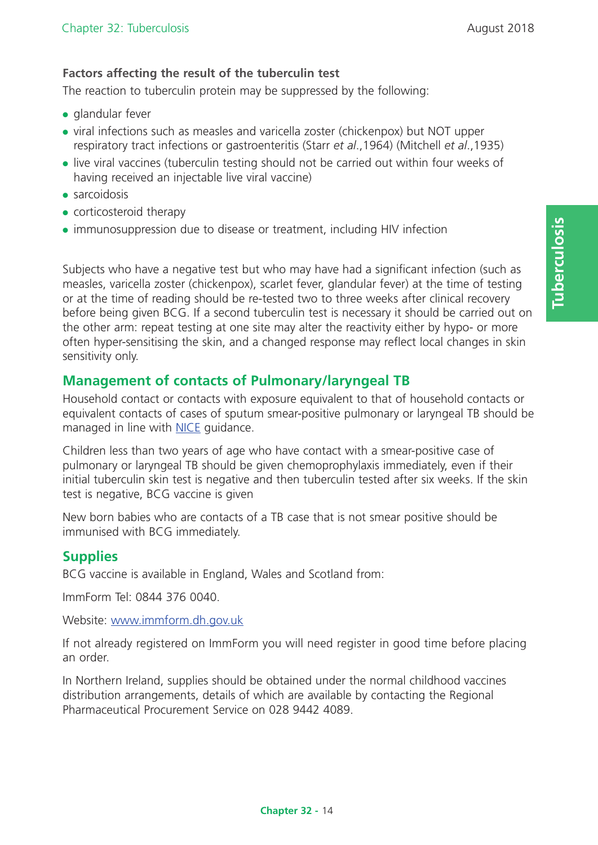# **Factors affecting the result of the tuberculin test**

The reaction to tuberculin protein may be suppressed by the following:

- $\bullet$  glandular fever
- viral infections such as measles and varicella zoster (chickenpox) but NOT upper respiratory tract infections or gastroenteritis (Starr *et al*.,1964) (Mitchell *et al*.,1935)
- live viral vaccines (tuberculin testing should not be carried out within four weeks of having received an injectable live viral vaccine)
- $\bullet$  sarcoidosis
- corticosteroid therapy
- immunosuppression due to disease or treatment, including HIV infection

Subjects who have a negative test but who may have had a significant infection (such as measles, varicella zoster (chickenpox), scarlet fever, glandular fever) at the time of testing or at the time of reading should be re-tested two to three weeks after clinical recovery before being given BCG. If a second tuberculin test is necessary it should be carried out on the other arm: repeat testing at one site may alter the reactivity either by hypo- or more often hyper-sensitising the skin, and a changed response may reflect local changes in skin sensitivity only.

# **Management of contacts of Pulmonary/laryngeal TB**

Household contact or contacts with exposure equivalent to that of household contacts or equivalent contacts of cases of sputum smear-positive pulmonary or laryngeal TB should be managed in line with NICE quidance.

Children less than two years of age who have contact with a smear-positive case of pulmonary or laryngeal TB should be given chemoprophylaxis immediately, even if their initial tuberculin skin test is negative and then tuberculin tested after six weeks. If the skin test is negative, BCG vaccine is given

New born babies who are contacts of a TB case that is not smear positive should be immunised with BCG immediately.

# **Supplies**

BCG vaccine is available in England, Wales and Scotland from:

ImmForm Tel: 0844 376 0040.

Website: www.immform.dh.gov.uk

If not already registered on ImmForm you will need register in good time before placing an order.

In Northern Ireland, supplies should be obtained under the normal childhood vaccines distribution arrangements, details of which are available by contacting the Regional Pharmaceutical Procurement Service on 028 9442 4089.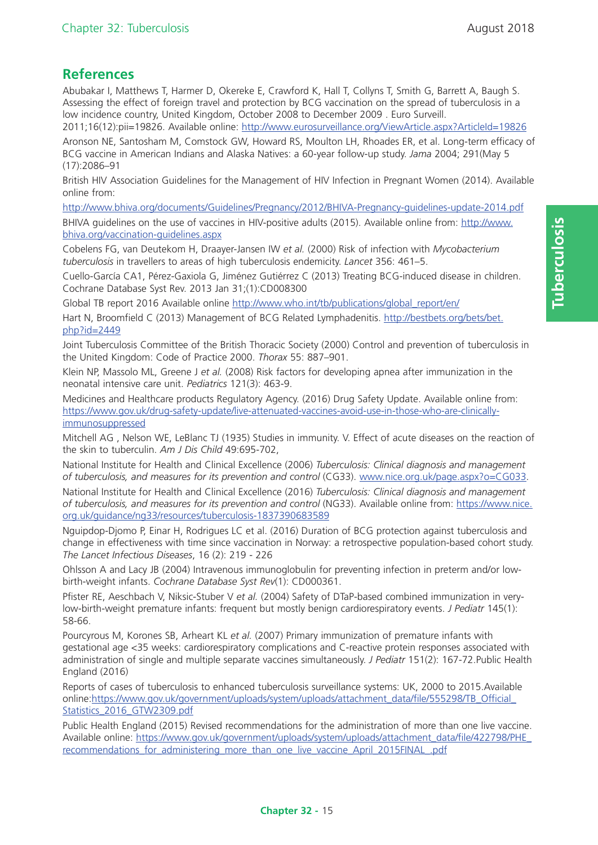# **References**

Abubakar I, Matthews T, Harmer D, Okereke E, Crawford K, Hall T, Collyns T, Smith G, Barrett A, Baugh S. Assessing the effect of foreign travel and protection by BCG vaccination on the spread of tuberculosis in a low incidence country, United Kingdom, October 2008 to December 2009 . Euro Surveill. 2011;16(12):pii=19826. Available online: http://www.eurosurveillance.org/ViewArticle.aspx?ArticleId=19826

Aronson NE, Santosham M, Comstock GW, Howard RS, Moulton LH, Rhoades ER, et al. Long-term efficacy of BCG vaccine in American Indians and Alaska Natives: a 60-year follow-up study. *Jama* 2004; 291(May 5 (17):2086–91

British HIV Association Guidelines for the Management of HIV Infection in Pregnant Women (2014). Available online from:

http://www.bhiva.org/documents/Guidelines/Pregnancy/2012/BHIVA-Pregnancy-guidelines-update-2014.pdf

BHIVA guidelines on the use of vaccines in HIV-positive adults (2015). Available online from: http://www. bhiva.org/vaccination-guidelines.aspx

Cobelens FG, van Deutekom H, Draayer-Jansen IW *et al.* (2000) Risk of infection with *Mycobacterium tuberculosis* in travellers to areas of high tuberculosis endemicity. *Lancet* 356: 461–5.

Cuello-García CA1, Pérez-Gaxiola G, Jiménez Gutiérrez C (2013) Treating BCG-induced disease in children. Cochrane Database Syst Rev. 2013 Jan 31;(1):CD008300

Global TB report 2016 Available online http://www.who.int/tb/publications/global\_report/en/

Hart N, Broomfield C (2013) Management of BCG Related Lymphadenitis. http://bestbets.org/bets/bet.  $php$ ?id=2449

Joint Tuberculosis Committee of the British Thoracic Society (2000) Control and prevention of tuberculosis in the United Kingdom: Code of Practice 2000. *Thorax* 55: 887–901.

Klein NP, Massolo ML, Greene J *et al.* (2008) Risk factors for developing apnea after immunization in the neonatal intensive care unit. *Pediatrics* 121(3): 463-9.

Medicines and Healthcare products Regulatory Agency. (2016) Drug Safety Update. Available online from: https://www.gov.uk/drug-safety-update/live-attenuated-vaccines-avoid-use-in-those-who-are-clinicallyimmunosuppressed

Mitchell AG , Nelson WE, LeBlanc TJ (1935) Studies in immunity. V. Effect of acute diseases on the reaction of the skin to tuberculin. *Am J Dis Child* 49:695-702,

National Institute for Health and Clinical Excellence (2006) *Tuberculosis: Clinical diagnosis and management of tuberculosis, and measures for its prevention and control* (CG33). www.nice.org.uk/page.aspx?o=CG033.

National Institute for Health and Clinical Excellence (2016) *Tuberculosis: Clinical diagnosis and management of tuberculosis, and measures for its prevention and control* (NG33). Available online from: https://www.nice. org.uk/guidance/ng33/resources/tuberculosis-1837390683589

Nguipdop-Djomo P, Einar H, Rodrigues LC et al. (2016) Duration of BCG protection against tuberculosis and change in effectiveness with time since vaccination in Norway: a retrospective population-based cohort study. *The Lancet Infectious Diseases*, 16 (2): 219 - 226

Ohlsson A and Lacy JB (2004) Intravenous immunoglobulin for preventing infection in preterm and/or lowbirth-weight infants. *Cochrane Database Syst Rev*(1): CD000361.

Pfister RE, Aeschbach V, Niksic-Stuber V *et al.* (2004) Safety of DTaP-based combined immunization in verylow-birth-weight premature infants: frequent but mostly benign cardiorespiratory events. *J Pediatr* 145(1): 58-66.

Pourcyrous M, Korones SB, Arheart KL *et al.* (2007) Primary immunization of premature infants with gestational age <35 weeks: cardiorespiratory complications and C-reactive protein responses associated with administration of single and multiple separate vaccines simultaneously. *J Pediatr* 151(2): 167-72.Public Health England (2016)

Reports of cases of tuberculosis to enhanced tuberculosis surveillance systems: UK, 2000 to 2015.Available online:https://www.gov.uk/government/uploads/system/uploads/attachment\_data/file/555298/TB\_Official\_ Statistics\_2016\_GTW2309.pdf

Public Health England (2015) Revised recommendations for the administration of more than one live vaccine. Available online: https://www.gov.uk/government/uploads/system/uploads/attachment\_data/file/422798/PHE\_ recommendations for administering more than one live vaccine April 2015FINAL .pdf